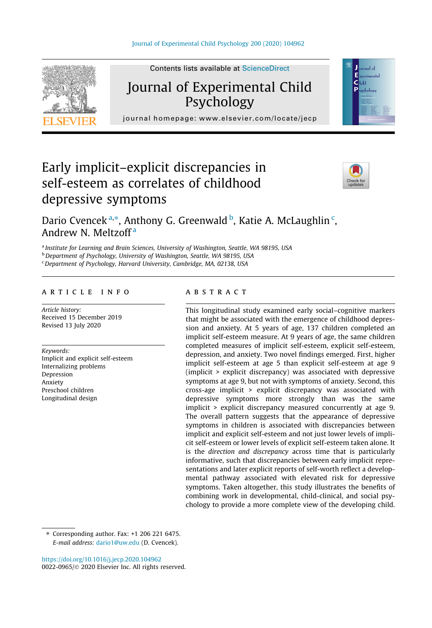

Contents lists available at ScienceDirect

# Journal of Experimental Child Psychology



journal homepage: [www.elsevier.com/locate/jecp](http://www.elsevier.com/locate/jecp)/ $j$ 

# Early implicit–explicit discrepancies in self-esteem as correlates of childhood depressive symptoms



Dario Cvencek <sup>a,\*</sup>, Anthony G. Greenwald <sup>b</sup>, Katie A. McLaughlin <sup>c</sup>, Andrew N. Meltzoff<sup>a</sup>

a Institute for Learning and Brain Sciences, University of Washington, Seattle, WA 98195, USA

**b** Department of Psychology, University of Washington, Seattle, WA 98195, USA

 $c$  Department of Psychology, Harvard University, Cambridge, MA, 02138, USA

# article info

Article history: Received 15 December 2019 Revised 13 July 2020

Keywords:

Implicit and explicit self-esteem Internalizing problems Depression Anxiety Preschool children Longitudinal design

# **ABSTRACT**

This longitudinal study examined early social–cognitive markers that might be associated with the emergence of childhood depression and anxiety. At 5 years of age, 137 children completed an implicit self-esteem measure. At 9 years of age, the same children completed measures of implicit self-esteem, explicit self-esteem, depression, and anxiety. Two novel findings emerged. First, higher implicit self-esteem at age 5 than explicit self-esteem at age 9 (implicit > explicit discrepancy) was associated with depressive symptoms at age 9, but not with symptoms of anxiety. Second, this cross-age implicit > explicit discrepancy was associated with depressive symptoms more strongly than was the same implicit > explicit discrepancy measured concurrently at age 9. The overall pattern suggests that the appearance of depressive symptoms in children is associated with discrepancies between implicit and explicit self-esteem and not just lower levels of implicit self-esteem or lower levels of explicit self-esteem taken alone. It is the direction and discrepancy across time that is particularly informative, such that discrepancies between early implicit representations and later explicit reports of self-worth reflect a developmental pathway associated with elevated risk for depressive symptoms. Taken altogether, this study illustrates the benefits of combining work in developmental, child-clinical, and social psychology to provide a more complete view of the developing child.

<https://doi.org/10.1016/j.jecp.2020.104962> 0022-0965/© 2020 Elsevier Inc. All rights reserved.

 $*$  Corresponding author. Fax:  $+1$  206 221 6475. E-mail address: [dario1@uw.edu](mailto:dario1@uw.edu) (D. Cvencek).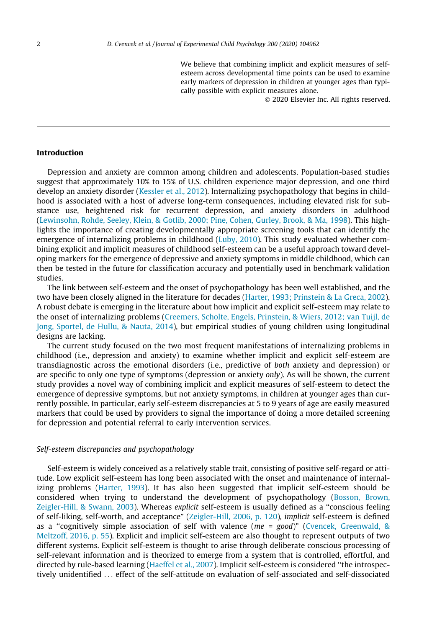We believe that combining implicit and explicit measures of selfesteem across developmental time points can be used to examine early markers of depression in children at younger ages than typically possible with explicit measures alone.

2020 Elsevier Inc. All rights reserved.

## Introduction

Depression and anxiety are common among children and adolescents. Population-based studies suggest that approximately 10% to 15% of U.S. children experience major depression, and one third develop an anxiety disorder ([Kessler et al., 2012\)](#page-17-0). Internalizing psychopathology that begins in childhood is associated with a host of adverse long-term consequences, including elevated risk for substance use, heightened risk for recurrent depression, and anxiety disorders in adulthood ([Lewinsohn, Rohde, Seeley, Klein, & Gotlib, 2000; Pine, Cohen, Gurley, Brook, & Ma, 1998\)](#page-18-0). This highlights the importance of creating developmentally appropriate screening tools that can identify the emergence of internalizing problems in childhood ([Luby, 2010\)](#page-18-0). This study evaluated whether combining explicit and implicit measures of childhood self-esteem can be a useful approach toward developing markers for the emergence of depressive and anxiety symptoms in middle childhood, which can then be tested in the future for classification accuracy and potentially used in benchmark validation studies.

The link between self-esteem and the onset of psychopathology has been well established, and the two have been closely aligned in the literature for decades ([Harter, 1993; Prinstein & La Greca, 2002](#page-17-0)). A robust debate is emerging in the literature about how implicit and explicit self-esteem may relate to the onset of internalizing problems ([Creemers, Scholte, Engels, Prinstein, & Wiers, 2012; van Tuijl, de](#page-17-0) [Jong, Sportel, de Hullu, & Nauta, 2014\)](#page-17-0), but empirical studies of young children using longitudinal designs are lacking.

The current study focused on the two most frequent manifestations of internalizing problems in childhood (i.e., depression and anxiety) to examine whether implicit and explicit self-esteem are transdiagnostic across the emotional disorders (i.e., predictive of both anxiety and depression) or are specific to only one type of symptoms (depression or anxiety *only*). As will be shown, the current study provides a novel way of combining implicit and explicit measures of self-esteem to detect the emergence of depressive symptoms, but not anxiety symptoms, in children at younger ages than currently possible. In particular, early self-esteem discrepancies at 5 to 9 years of age are easily measured markers that could be used by providers to signal the importance of doing a more detailed screening for depression and potential referral to early intervention services.

# Self-esteem discrepancies and psychopathology

Self-esteem is widely conceived as a relatively stable trait, consisting of positive self-regard or attitude. Low explicit self-esteem has long been associated with the onset and maintenance of internalizing problems ([Harter, 1993\)](#page-17-0). It has also been suggested that implicit self-esteem should be considered when trying to understand the development of psychopathology ([Bosson, Brown,](#page-16-0) [Zeigler-Hill, & Swann, 2003](#page-16-0)). Whereas explicit self-esteem is usually defined as a "conscious feeling of self-liking, self-worth, and acceptance" [\(Zeigler-Hill, 2006, p. 120](#page-18-0)), implicit self-esteem is defined as a "cognitively simple association of self with valence ( $me = good$ )" [\(Cvencek, Greenwald, &](#page-17-0) [Meltzoff, 2016, p. 55\)](#page-17-0). Explicit and implicit self-esteem are also thought to represent outputs of two different systems. Explicit self-esteem is thought to arise through deliberate conscious processing of self-relevant information and is theorized to emerge from a system that is controlled, effortful, and directed by rule-based learning ([Haeffel et al., 2007](#page-17-0)). Implicit self-esteem is considered ''the introspectively unidentified ... effect of the self-attitude on evaluation of self-associated and self-dissociated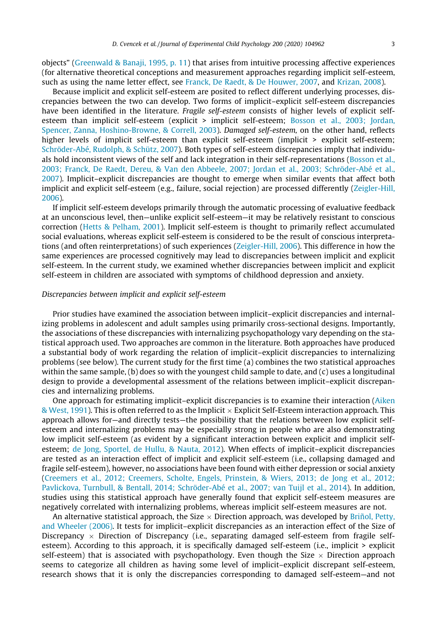objects" [\(Greenwald & Banaji, 1995, p. 11](#page-17-0)) that arises from intuitive processing affective experiences (for alternative theoretical conceptions and measurement approaches regarding implicit self-esteem, such as using the name letter effect, see [Franck, De Raedt, & De Houwer, 2007](#page-17-0), and [Krizan, 2008](#page-18-0)).

Because implicit and explicit self-esteem are posited to reflect different underlying processes, discrepancies between the two can develop. Two forms of implicit–explicit self-esteem discrepancies have been identified in the literature. Fragile self-esteem consists of higher levels of explicit self-esteem than implicit self-esteem (explicit > implicit self-esteem; [Bosson et al., 2003; Jordan,](#page-16-0) [Spencer, Zanna, Hoshino-Browne, & Correll, 2003\)](#page-16-0). Damaged self-esteem, on the other hand, reflects higher levels of implicit self-esteem than explicit self-esteem (implicit > explicit self-esteem; [Schröder-Abé, Rudolph, & Schütz, 2007\)](#page-18-0). Both types of self-esteem discrepancies imply that individuals hold inconsistent views of the self and lack integration in their self-representations ([Bosson et al.,](#page-16-0) [2003; Franck, De Raedt, Dereu, & Van den Abbeele, 2007; Jordan et al., 2003; Schröder-Abé et al.,](#page-16-0) [2007](#page-16-0)). Implicit–explicit discrepancies are thought to emerge when similar events that affect both implicit and explicit self-esteem (e.g., failure, social rejection) are processed differently [\(Zeigler-Hill,](#page-18-0) [2006](#page-18-0)).

If implicit self-esteem develops primarily through the automatic processing of evaluative feedback at an unconscious level, then—unlike explicit self-esteem—it may be relatively resistant to conscious correction ([Hetts & Pelham, 2001\)](#page-17-0). Implicit self-esteem is thought to primarily reflect accumulated social evaluations, whereas explicit self-esteem is considered to be the result of conscious interpretations (and often reinterpretations) of such experiences [\(Zeigler-Hill, 2006](#page-18-0)). This difference in how the same experiences are processed cognitively may lead to discrepancies between implicit and explicit self-esteem. In the current study, we examined whether discrepancies between implicit and explicit self-esteem in children are associated with symptoms of childhood depression and anxiety.

### Discrepancies between implicit and explicit self-esteem

Prior studies have examined the association between implicit–explicit discrepancies and internalizing problems in adolescent and adult samples using primarily cross-sectional designs. Importantly, the associations of these discrepancies with internalizing psychopathology vary depending on the statistical approach used. Two approaches are common in the literature. Both approaches have produced a substantial body of work regarding the relation of implicit–explicit discrepancies to internalizing problems (see below). The current study for the first time (a) combines the two statistical approaches within the same sample, (b) does so with the youngest child sample to date, and (c) uses a longitudinal design to provide a developmental assessment of the relations between implicit–explicit discrepancies and internalizing problems.

One approach for estimating implicit–explicit discrepancies is to examine their interaction [\(Aiken](#page-16-0)  $&$  West, 1991). This is often referred to as the Implicit  $\times$  Explicit Self-Esteem interaction approach. This approach allows for—and directly tests—the possibility that the relations between low explicit selfesteem and internalizing problems may be especially strong in people who are also demonstrating low implicit self-esteem (as evident by a significant interaction between explicit and implicit selfesteem; [de Jong, Sportel, de Hullu, & Nauta, 2012](#page-17-0)). When effects of implicit–explicit discrepancies are tested as an interaction effect of implicit and explicit self-esteem (i.e., collapsing damaged and fragile self-esteem), however, no associations have been found with either depression or social anxiety [\(Creemers et al., 2012; Creemers, Scholte, Engels, Prinstein, & Wiers, 2013; de Jong et al., 2012;](#page-17-0) [Pavlickova, Turnbull, & Bentall, 2014; Schröder-Abé et al., 2007; van Tuijl et al., 2014\)](#page-17-0). In addition, studies using this statistical approach have generally found that explicit self-esteem measures are negatively correlated with internalizing problems, whereas implicit self-esteem measures are not.

An alternative statistical approach, the Size  $\times$  Direction approach, was developed by [Briñol, Petty,](#page-16-0) [and Wheeler \(2006\).](#page-16-0) It tests for implicit–explicit discrepancies as an interaction effect of the Size of Discrepancy  $\times$  Direction of Discrepancy (i.e., separating damaged self-esteem from fragile selfesteem). According to this approach, it is specifically damaged self-esteem (i.e., implicit > explicit self-esteem) that is associated with psychopathology. Even though the Size  $\times$  Direction approach seems to categorize all children as having some level of implicit–explicit discrepant self-esteem, research shows that it is only the discrepancies corresponding to damaged self-esteem—and not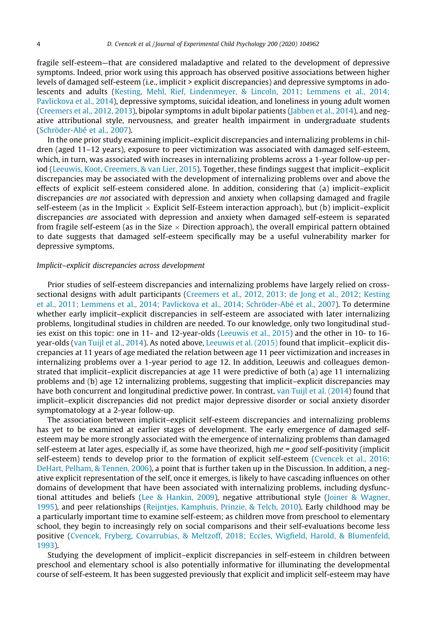fragile self-esteem—that are considered maladaptive and related to the development of depressive symptoms. Indeed, prior work using this approach has observed positive associations between higher levels of damaged self-esteem (i.e., implicit > explicit discrepancies) and depressive symptoms in adolescents and adults [\(Kesting, Mehl, Rief, Lindenmeyer, & Lincoln, 2011; Lemmens et al., 2014;](#page-17-0) [Pavlickova et al., 2014\)](#page-17-0), depressive symptoms, suicidal ideation, and loneliness in young adult women ([Creemers et al., 2012, 2013\)](#page-17-0), bipolar symptoms in adult bipolar patients ([Jabben et al., 2014\)](#page-17-0), and negative attributional style, nervousness, and greater health impairment in undergraduate students ([Schröder-Abé et al., 2007\)](#page-18-0).

In the one prior study examining implicit–explicit discrepancies and internalizing problems in children (aged 11–12 years), exposure to peer victimization was associated with damaged self-esteem, which, in turn, was associated with increases in internalizing problems across a 1-year follow-up period ([Leeuwis, Koot, Creemers, & van Lier, 2015](#page-18-0)). Together, these findings suggest that implicit–explicit discrepancies may be associated with the development of internalizing problems over and above the effects of explicit self-esteem considered alone. In addition, considering that (a) implicit–explicit discrepancies are not associated with depression and anxiety when collapsing damaged and fragile self-esteem (as in the Implicit  $\times$  Explicit Self-Esteem interaction approach), but (b) implicit–explicit discrepancies are associated with depression and anxiety when damaged self-esteem is separated from fragile self-esteem (as in the Size  $\times$  Direction approach), the overall empirical pattern obtained to date suggests that damaged self-esteem specifically may be a useful vulnerability marker for depressive symptoms.

### Implicit–explicit discrepancies across development

Prior studies of self-esteem discrepancies and internalizing problems have largely relied on crosssectional designs with adult participants [\(Creemers et al., 2012, 2013; de Jong et al., 2012; Kesting](#page-17-0) [et al., 2011; Lemmens et al., 2014; Pavlickova et al., 2014; Schröder-Abé et al., 2007\)](#page-17-0). To determine whether early implicit–explicit discrepancies in self-esteem are associated with later internalizing problems, longitudinal studies in children are needed. To our knowledge, only two longitudinal studies exist on this topic: one in 11- and 12-year-olds ([Leeuwis et al., 2015](#page-18-0)) and the other in 10- to 16 year-olds [\(van Tuijl et al., 2014](#page-18-0)). As noted above, [Leeuwis et al. \(2015\)](#page-18-0) found that implicit–explicit discrepancies at 11 years of age mediated the relation between age 11 peer victimization and increases in internalizing problems over a 1-year period to age 12. In addition, Leeuwis and colleagues demonstrated that implicit–explicit discrepancies at age 11 were predictive of both (a) age 11 internalizing problems and (b) age 12 internalizing problems, suggesting that implicit–explicit discrepancies may have both concurrent and longitudinal predictive power. In contrast, [van Tuijl et al. \(2014\)](#page-18-0) found that implicit–explicit discrepancies did not predict major depressive disorder or social anxiety disorder symptomatology at a 2-year follow-up.

The association between implicit–explicit self-esteem discrepancies and internalizing problems has yet to be examined at earlier stages of development. The early emergence of damaged selfesteem may be more strongly associated with the emergence of internalizing problems than damaged self-esteem at later ages, especially if, as some have theorized, high me = good self-positivity (implicit self-esteem) tends to develop prior to the formation of explicit self-esteem ([Cvencek et al., 2016;](#page-17-0) [DeHart, Pelham, & Tennen, 2006](#page-17-0)), a point that is further taken up in the Discussion. In addition, a negative explicit representation of the self, once it emerges, is likely to have cascading influences on other domains of development that have been associated with internalizing problems, including dysfunctional attitudes and beliefs ([Lee & Hankin, 2009](#page-18-0)), negative attributional style ([Joiner & Wagner,](#page-17-0) [1995\)](#page-17-0), and peer relationships ([Reijntjes, Kamphuis, Prinzie, & Telch, 2010](#page-18-0)). Early childhood may be a particularly important time to examine self-esteem; as children move from preschool to elementary school, they begin to increasingly rely on social comparisons and their self-evaluations become less positive [\(Cvencek, Fryberg, Covarrubias, & Meltzoff, 2018; Eccles, Wigfield, Harold, & Blumenfeld,](#page-17-0) [1993\)](#page-17-0).

Studying the development of implicit–explicit discrepancies in self-esteem in children between preschool and elementary school is also potentially informative for illuminating the developmental course of self-esteem. It has been suggested previously that explicit and implicit self-esteem may have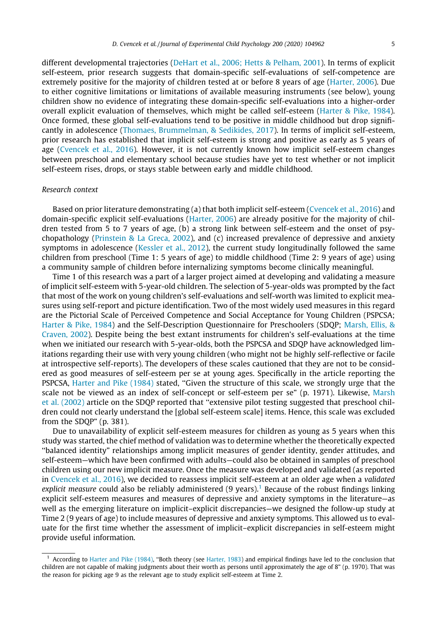different developmental trajectories ([DeHart et al., 2006; Hetts & Pelham, 2001\)](#page-17-0). In terms of explicit self-esteem, prior research suggests that domain-specific self-evaluations of self-competence are extremely positive for the majority of children tested at or before 8 years of age [\(Harter, 2006](#page-17-0)). Due to either cognitive limitations or limitations of available measuring instruments (see below), young children show no evidence of integrating these domain-specific self-evaluations into a higher-order overall explicit evaluation of themselves, which might be called self-esteem [\(Harter & Pike, 1984\)](#page-17-0). Once formed, these global self-evaluations tend to be positive in middle childhood but drop significantly in adolescence [\(Thomaes, Brummelman, & Sedikides, 2017\)](#page-18-0). In terms of implicit self-esteem, prior research has established that implicit self-esteem is strong and positive as early as 5 years of age [\(Cvencek et al., 2016\)](#page-17-0). However, it is not currently known how implicit self-esteem changes between preschool and elementary school because studies have yet to test whether or not implicit self-esteem rises, drops, or stays stable between early and middle childhood.

#### Research context

Based on prior literature demonstrating (a) that both implicit self-esteem [\(Cvencek et al., 2016](#page-17-0)) and domain-specific explicit self-evaluations ([Harter, 2006\)](#page-17-0) are already positive for the majority of children tested from 5 to 7 years of age, (b) a strong link between self-esteem and the onset of psychopathology ([Prinstein & La Greca, 2002](#page-18-0)), and (c) increased prevalence of depressive and anxiety symptoms in adolescence ([Kessler et al., 2012\)](#page-17-0), the current study longitudinally followed the same children from preschool (Time 1: 5 years of age) to middle childhood (Time 2: 9 years of age) using a community sample of children before internalizing symptoms become clinically meaningful.

Time 1 of this research was a part of a larger project aimed at developing and validating a measure of implicit self-esteem with 5-year-old children. The selection of 5-year-olds was prompted by the fact that most of the work on young children's self-evaluations and self-worth was limited to explicit measures using self-report and picture identification. Two of the most widely used measures in this regard are the Pictorial Scale of Perceived Competence and Social Acceptance for Young Children (PSPCSA; [Harter & Pike, 1984](#page-17-0)) and the Self-Description Questionnaire for Preschoolers (SDQP; [Marsh, Ellis, &](#page-18-0) [Craven, 2002](#page-18-0)). Despite being the best extant instruments for children's self-evaluations at the time when we initiated our research with 5-year-olds, both the PSPCSA and SDQP have acknowledged limitations regarding their use with very young children (who might not be highly self-reflective or facile at introspective self-reports). The developers of these scales cautioned that they are not to be considered as good measures of self-esteem per se at young ages. Specifically in the article reporting the PSPCSA, [Harter and Pike \(1984\)](#page-17-0) stated, ''Given the structure of this scale, we strongly urge that the scale not be viewed as an index of self-concept or self-esteem per se" (p. 1971). Likewise, [Marsh](#page-18-0) [et al. \(2002\)](#page-18-0) article on the SDQP reported that ''extensive pilot testing suggested that preschool children could not clearly understand the [global self-esteem scale] items. Hence, this scale was excluded from the SDQP" (p. 381).

Due to unavailability of explicit self-esteem measures for children as young as 5 years when this study was started, the chief method of validation was to determine whether the theoretically expected ''balanced identity" relationships among implicit measures of gender identity, gender attitudes, and self-esteem—which have been confirmed with adults—could also be obtained in samples of preschool children using our new implicit measure. Once the measure was developed and validated (as reported in [Cvencek et al., 2016\)](#page-17-0), we decided to reassess implicit self-esteem at an older age when a validated explicit measure could also be reliably administered  $(9 \text{ years})$ .<sup>1</sup> Because of the robust findings linking explicit self-esteem measures and measures of depressive and anxiety symptoms in the literature—as well as the emerging literature on implicit–explicit discrepancies—we designed the follow-up study at Time 2 (9 years of age) to include measures of depressive and anxiety symptoms. This allowed us to evaluate for the first time whether the assessment of implicit–explicit discrepancies in self-esteem might provide useful information.

<sup>1</sup> According to [Harter and Pike \(1984\),](#page-17-0) ''Both theory (see [Harter, 1983](#page-17-0)) and empirical findings have led to the conclusion that children are not capable of making judgments about their worth as persons until approximately the age of 8" (p. 1970). That was the reason for picking age 9 as the relevant age to study explicit self-esteem at Time 2.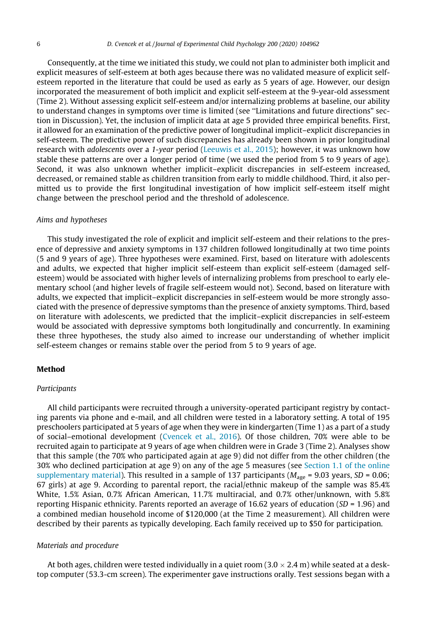Consequently, at the time we initiated this study, we could not plan to administer both implicit and explicit measures of self-esteem at both ages because there was no validated measure of explicit selfesteem reported in the literature that could be used as early as 5 years of age. However, our design incorporated the measurement of both implicit and explicit self-esteem at the 9-year-old assessment (Time 2). Without assessing explicit self-esteem and/or internalizing problems at baseline, our ability to understand changes in symptoms over time is limited (see ''Limitations and future directions" section in Discussion). Yet, the inclusion of implicit data at age 5 provided three empirical benefits. First, it allowed for an examination of the predictive power of longitudinal implicit–explicit discrepancies in self-esteem. The predictive power of such discrepancies has already been shown in prior longitudinal research with *adolescents* over a 1-year period ([Leeuwis et al., 2015\)](#page-18-0); however, it was unknown how stable these patterns are over a longer period of time (we used the period from 5 to 9 years of age). Second, it was also unknown whether implicit–explicit discrepancies in self-esteem increased, decreased, or remained stable as children transition from early to middle childhood. Third, it also permitted us to provide the first longitudinal investigation of how implicit self-esteem itself might change between the preschool period and the threshold of adolescence.

#### Aims and hypotheses

This study investigated the role of explicit and implicit self-esteem and their relations to the presence of depressive and anxiety symptoms in 137 children followed longitudinally at two time points (5 and 9 years of age). Three hypotheses were examined. First, based on literature with adolescents and adults, we expected that higher implicit self-esteem than explicit self-esteem (damaged selfesteem) would be associated with higher levels of internalizing problems from preschool to early elementary school (and higher levels of fragile self-esteem would not). Second, based on literature with adults, we expected that implicit–explicit discrepancies in self-esteem would be more strongly associated with the presence of depressive symptoms than the presence of anxiety symptoms. Third, based on literature with adolescents, we predicted that the implicit–explicit discrepancies in self-esteem would be associated with depressive symptoms both longitudinally and concurrently. In examining these three hypotheses, the study also aimed to increase our understanding of whether implicit self-esteem changes or remains stable over the period from 5 to 9 years of age.

## Method

#### Participants

All child participants were recruited through a university-operated participant registry by contacting parents via phone and e-mail, and all children were tested in a laboratory setting. A total of 195 preschoolers participated at 5 years of age when they were in kindergarten (Time 1) as a part of a study of social–emotional development [\(Cvencek et al., 2016\)](#page-17-0). Of those children, 70% were able to be recruited again to participate at 9 years of age when children were in Grade 3 (Time 2). Analyses show that this sample (the 70% who participated again at age 9) did not differ from the other children (the 30% who declined participation at age 9) on any of the age 5 measures (see Section 1.1 of the online supplementary material). This resulted in a sample of 137 participants ( $M_{\text{age}}$  = 9.03 years, SD = 0.06; 67 girls) at age 9. According to parental report, the racial/ethnic makeup of the sample was 85.4% White, 1.5% Asian, 0.7% African American, 11.7% multiracial, and 0.7% other/unknown, with 5.8% reporting Hispanic ethnicity. Parents reported an average of 16.62 years of education (SD = 1.96) and a combined median household income of \$120,000 (at the Time 2 measurement). All children were described by their parents as typically developing. Each family received up to \$50 for participation.

#### Materials and procedure

At both ages, children were tested individually in a quiet room  $(3.0 \times 2.4 \text{ m})$  while seated at a desktop computer (53.3-cm screen). The experimenter gave instructions orally. Test sessions began with a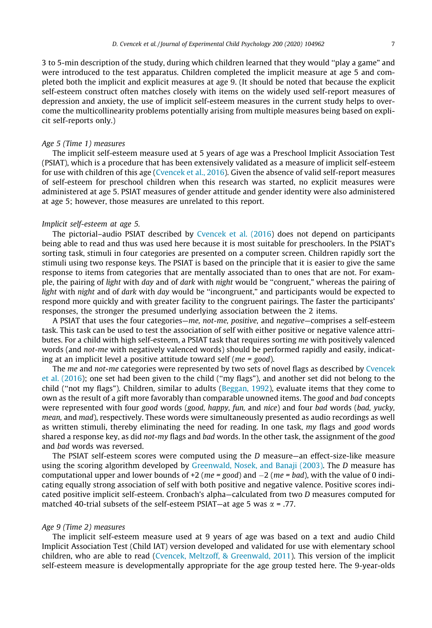3 to 5-min description of the study, during which children learned that they would ''play a game" and were introduced to the test apparatus. Children completed the implicit measure at age 5 and completed both the implicit and explicit measures at age 9. (It should be noted that because the explicit self-esteem construct often matches closely with items on the widely used self-report measures of depression and anxiety, the use of implicit self-esteem measures in the current study helps to overcome the multicollinearity problems potentially arising from multiple measures being based on explicit self-reports only.)

## Age 5 (Time 1) measures

The implicit self-esteem measure used at 5 years of age was a Preschool Implicit Association Test (PSIAT), which is a procedure that has been extensively validated as a measure of implicit self-esteem for use with children of this age [\(Cvencek et al., 2016](#page-17-0)). Given the absence of valid self-report measures of self-esteem for preschool children when this research was started, no explicit measures were administered at age 5. PSIAT measures of gender attitude and gender identity were also administered at age 5; however, those measures are unrelated to this report.

## Implicit self-esteem at age 5.

The pictorial–audio PSIAT described by [Cvencek et al. \(2016\)](#page-17-0) does not depend on participants being able to read and thus was used here because it is most suitable for preschoolers. In the PSIAT's sorting task, stimuli in four categories are presented on a computer screen. Children rapidly sort the stimuli using two response keys. The PSIAT is based on the principle that it is easier to give the same response to items from categories that are mentally associated than to ones that are not. For example, the pairing of light with day and of dark with night would be ''congruent," whereas the pairing of light with night and of dark with day would be "incongruent," and participants would be expected to respond more quickly and with greater facility to the congruent pairings. The faster the participants' responses, the stronger the presumed underlying association between the 2 items.

A PSIAT that uses the four categories—me, not-me, positive, and negative—comprises a self-esteem task. This task can be used to test the association of self with either positive or negative valence attributes. For a child with high self-esteem, a PSIAT task that requires sorting me with positively valenced words (and not-me with negatively valenced words) should be performed rapidly and easily, indicating at an implicit level a positive attitude toward self ( $me = good$ ).

The me and not-me categories were represented by two sets of novel flags as described by [Cvencek](#page-17-0) [et al. \(2016\)](#page-17-0); one set had been given to the child (''my flags"), and another set did not belong to the child (''not my flags"). Children, similar to adults [\(Beggan, 1992\)](#page-16-0), evaluate items that they come to own as the result of a gift more favorably than comparable unowned items. The good and bad concepts were represented with four good words (good, happy, fun, and nice) and four bad words (bad, yucky, mean, and mad), respectively. These words were simultaneously presented as audio recordings as well as written stimuli, thereby eliminating the need for reading. In one task, my flags and good words shared a response key, as did not-my flags and bad words. In the other task, the assignment of the good and bad words was reversed.

The PSIAT self-esteem scores were computed using the D measure—an effect-size-like measure using the scoring algorithm developed by [Greenwald, Nosek, and Banaji \(2003\).](#page-17-0) The D measure has computational upper and lower bounds of +2 ( $me = good$ ) and  $-2$  ( $me = bad$ ), with the value of 0 indicating equally strong association of self with both positive and negative valence. Positive scores indicated positive implicit self-esteem. Cronbach's alpha—calculated from two D measures computed for matched 40-trial subsets of the self-esteem PSIAT—at age 5 was  $\alpha$  = .77.

#### Age 9 (Time 2) measures

The implicit self-esteem measure used at 9 years of age was based on a text and audio Child Implicit Association Test (Child IAT) version developed and validated for use with elementary school children, who are able to read ([Cvencek, Meltzoff, & Greenwald, 2011](#page-17-0)). This version of the implicit self-esteem measure is developmentally appropriate for the age group tested here. The 9-year-olds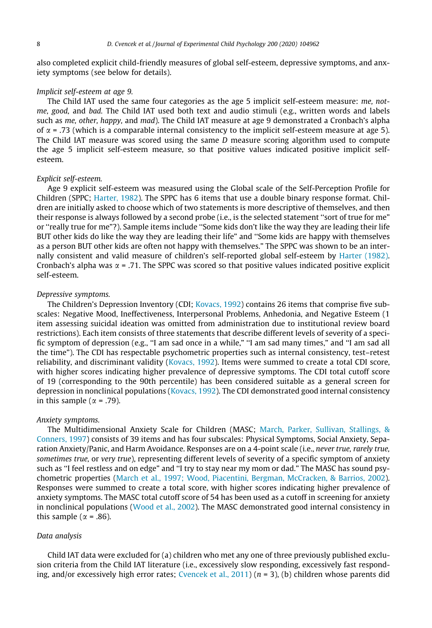also completed explicit child-friendly measures of global self-esteem, depressive symptoms, and anxiety symptoms (see below for details).

### Implicit self-esteem at age 9.

The Child IAT used the same four categories as the age 5 implicit self-esteem measure: me, notme, good, and bad. The Child IAT used both text and audio stimuli (e.g., written words and labels such as me, other, happy, and mad). The Child IAT measure at age 9 demonstrated a Cronbach's alpha of  $\alpha$  = .73 (which is a comparable internal consistency to the implicit self-esteem measure at age 5). The Child IAT measure was scored using the same  $D$  measure scoring algorithm used to compute the age 5 implicit self-esteem measure, so that positive values indicated positive implicit selfesteem.

### Explicit self-esteem.

Age 9 explicit self-esteem was measured using the Global scale of the Self-Perception Profile for Children (SPPC; [Harter, 1982\)](#page-17-0). The SPPC has 6 items that use a double binary response format. Children are initially asked to choose which of two statements is more descriptive of themselves, and then their response is always followed by a second probe (i.e., is the selected statement ''sort of true for me" or ''really true for me"?). Sample items include ''Some kids don't like the way they are leading their life BUT other kids do like the way they are leading their life" and ''Some kids are happy with themselves as a person BUT other kids are often not happy with themselves." The SPPC was shown to be an internally consistent and valid measure of children's self-reported global self-esteem by [Harter \(1982\)](#page-17-0). Cronbach's alpha was  $\alpha$  = .71. The SPPC was scored so that positive values indicated positive explicit self-esteem.

#### Depressive symptoms.

The Children's Depression Inventory (CDI; [Kovacs, 1992](#page-17-0)) contains 26 items that comprise five subscales: Negative Mood, Ineffectiveness, Interpersonal Problems, Anhedonia, and Negative Esteem (1 item assessing suicidal ideation was omitted from administration due to institutional review board restrictions). Each item consists of three statements that describe different levels of severity of a specific symptom of depression (e.g., ''I am sad once in a while," ''I am sad many times," and ''I am sad all the time"). The CDI has respectable psychometric properties such as internal consistency, test–retest reliability, and discriminant validity ([Kovacs, 1992\)](#page-17-0). Items were summed to create a total CDI score, with higher scores indicating higher prevalence of depressive symptoms. The CDI total cutoff score of 19 (corresponding to the 90th percentile) has been considered suitable as a general screen for depression in nonclinical populations ([Kovacs, 1992\)](#page-17-0). The CDI demonstrated good internal consistency in this sample ( $\alpha$  = .79).

#### Anxiety symptoms.

The Multidimensional Anxiety Scale for Children (MASC; [March, Parker, Sullivan, Stallings, &](#page-18-0) [Conners, 1997\)](#page-18-0) consists of 39 items and has four subscales: Physical Symptoms, Social Anxiety, Separation Anxiety/Panic, and Harm Avoidance. Responses are on a 4-point scale (i.e., never true, rarely true, sometimes true, or very true), representing different levels of severity of a specific symptom of anxiety such as ''I feel restless and on edge" and ''I try to stay near my mom or dad." The MASC has sound psychometric properties ([March et al., 1997; Wood, Piacentini, Bergman, McCracken, & Barrios, 2002](#page-18-0)). Responses were summed to create a total score, with higher scores indicating higher prevalence of anxiety symptoms. The MASC total cutoff score of 54 has been used as a cutoff in screening for anxiety in nonclinical populations [\(Wood et al., 2002](#page-18-0)). The MASC demonstrated good internal consistency in this sample ( $\alpha$  = .86).

### Data analysis

Child IAT data were excluded for (a) children who met any one of three previously published exclusion criteria from the Child IAT literature (i.e., excessively slow responding, excessively fast respond-ing, and/or excessively high error rates; [Cvencek et al., 2011\)](#page-17-0) ( $n = 3$ ), (b) children whose parents did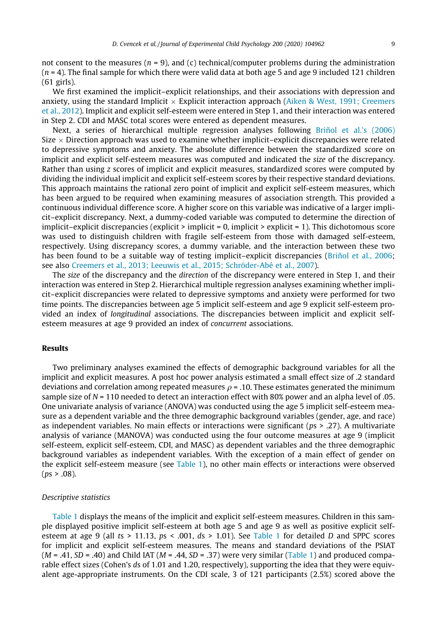not consent to the measures ( $n = 9$ ), and (c) technical/computer problems during the administration  $(n = 4)$ . The final sample for which there were valid data at both age 5 and age 9 included 121 children (61 girls).

We first examined the implicit–explicit relationships, and their associations with depression and anxiety, using the standard Implicit  $\times$  Explicit interaction approach [\(Aiken & West, 1991; Creemers](#page-16-0) [et al., 2012](#page-16-0)). Implicit and explicit self-esteem were entered in Step 1, and their interaction was entered in Step 2. CDI and MASC total scores were entered as dependent measures.

Next, a series of hierarchical multiple regression analyses following [Briñol et al.'s \(2006\)](#page-16-0) Size  $\times$  Direction approach was used to examine whether implicit–explicit discrepancies were related to depressive symptoms and anxiety. The absolute difference between the standardized score on implicit and explicit self-esteem measures was computed and indicated the size of the discrepancy. Rather than using z scores of implicit and explicit measures, standardized scores were computed by dividing the individual implicit and explicit self-esteem scores by their respective standard deviations. This approach maintains the rational zero point of implicit and explicit self-esteem measures, which has been argued to be required when examining measures of association strength. This provided a continuous individual difference score. A higher score on this variable was indicative of a larger implicit–explicit discrepancy. Next, a dummy-coded variable was computed to determine the direction of implicit–explicit discrepancies (explicit > implicit = 0, implicit > explicit = 1). This dichotomous score was used to distinguish children with fragile self-esteem from those with damaged self-esteem, respectively. Using discrepancy scores, a dummy variable, and the interaction between these two has been found to be a suitable way of testing implicit–explicit discrepancies [\(Briñol et al., 2006](#page-16-0); see also [Creemers et al., 2013; Leeuwis et al., 2015; Schröder-Abé et al., 2007\)](#page-17-0).

The size of the discrepancy and the direction of the discrepancy were entered in Step 1, and their interaction was entered in Step 2. Hierarchical multiple regression analyses examining whether implicit–explicit discrepancies were related to depressive symptoms and anxiety were performed for two time points. The discrepancies between age 5 implicit self-esteem and age 9 explicit self-esteem provided an index of longitudinal associations. The discrepancies between implicit and explicit selfesteem measures at age 9 provided an index of concurrent associations.

## Results

Two preliminary analyses examined the effects of demographic background variables for all the implicit and explicit measures. A post hoc power analysis estimated a small effect size of .2 standard deviations and correlation among repeated measures  $\rho = 0.10$ . These estimates generated the minimum sample size of  $N = 110$  needed to detect an interaction effect with 80% power and an alpha level of .05. One univariate analysis of variance (ANOVA) was conducted using the age 5 implicit self-esteem measure as a dependent variable and the three demographic background variables (gender, age, and race) as independent variables. No main effects or interactions were significant ( $ps > .27$ ). A multivariate analysis of variance (MANOVA) was conducted using the four outcome measures at age 9 (implicit self-esteem, explicit self-esteem, CDI, and MASC) as dependent variables and the three demographic background variables as independent variables. With the exception of a main effect of gender on the explicit self-esteem measure (see [Table 1\)](#page-9-0), no other main effects or interactions were observed  $(ps > .08)$ .

#### Descriptive statistics

[Table 1](#page-9-0) displays the means of the implicit and explicit self-esteem measures. Children in this sample displayed positive implicit self-esteem at both age 5 and age 9 as well as positive explicit selfesteem at age 9 (all ts > 11.13,  $ps < .001$ ,  $ds > 1.01$ ). See [Table 1](#page-9-0) for detailed D and SPPC scores for implicit and explicit self-esteem measures. The means and standard deviations of the PSIAT  $(M = .41, SD = .40)$  and Child IAT  $(M = .44, SD = .37)$  were very similar [\(Table 1\)](#page-9-0) and produced comparable effect sizes (Cohen's ds of 1.01 and 1.20, respectively), supporting the idea that they were equivalent age-appropriate instruments. On the CDI scale, 3 of 121 participants (2.5%) scored above the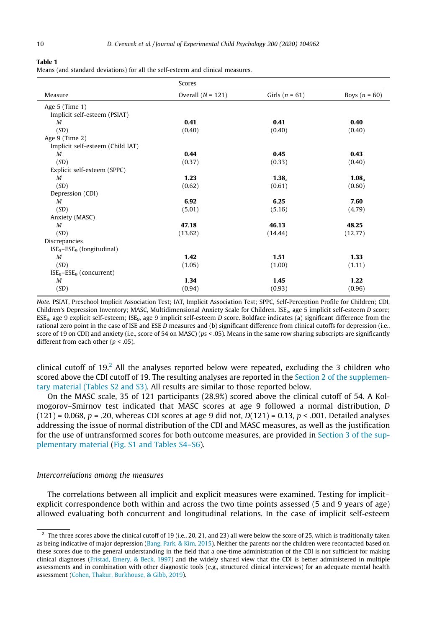<span id="page-9-0"></span>Table 1

|  |  |  |  | Means (and standard deviations) for all the self-esteem and clinical measures. |  |  |
|--|--|--|--|--------------------------------------------------------------------------------|--|--|
|--|--|--|--|--------------------------------------------------------------------------------|--|--|

|                                  | Scores              |                   |                   |  |  |  |
|----------------------------------|---------------------|-------------------|-------------------|--|--|--|
| Measure                          | Overall $(N = 121)$ | Girls $(n = 61)$  | Boys $(n = 60)$   |  |  |  |
| Age $5$ (Time $1$ )              |                     |                   |                   |  |  |  |
| Implicit self-esteem (PSIAT)     |                     |                   |                   |  |  |  |
| M                                | 0.41                | 0.41              | 0.40              |  |  |  |
| (SD)                             | (0.40)              | (0.40)            | (0.40)            |  |  |  |
| Age $9$ (Time $2$ )              |                     |                   |                   |  |  |  |
| Implicit self-esteem (Child IAT) |                     |                   |                   |  |  |  |
| M                                | 0.44                | 0.45              | 0.43              |  |  |  |
| (SD)                             | (0.37)              | (0.33)            | (0.40)            |  |  |  |
| Explicit self-esteem (SPPC)      |                     |                   |                   |  |  |  |
| M                                | 1.23                | 1.38 <sub>a</sub> | 1.08 <sub>a</sub> |  |  |  |
| (SD)                             | (0.62)              | (0.61)            | (0.60)            |  |  |  |
| Depression (CDI)                 |                     |                   |                   |  |  |  |
| M                                | 6.92                | 6.25              | 7.60              |  |  |  |
| (SD)                             | (5.01)              | (5.16)            | (4.79)            |  |  |  |
| Anxiety (MASC)                   |                     |                   |                   |  |  |  |
| M                                | 47.18               | 46.13             | 48.25             |  |  |  |
| (SD)                             | (13.62)             | (14.44)           | (12.77)           |  |  |  |
| Discrepancies                    |                     |                   |                   |  |  |  |
| $ISE_5-ESE_9$ (longitudinal)     |                     |                   |                   |  |  |  |
| M                                | 1.42                | 1.51              | 1.33              |  |  |  |
| (SD)                             | (1.05)              | (1.00)            | (1.11)            |  |  |  |
| $ISE9-ESE9$ (concurrent)         |                     |                   |                   |  |  |  |
| M                                | 1.34                | 1.45              | 1.22              |  |  |  |
| (SD)                             | (0.94)              | (0.93)            | (0.96)            |  |  |  |
|                                  |                     |                   |                   |  |  |  |

Note. PSIAT, Preschool Implicit Association Test; IAT, Implicit Association Test; SPPC, Self-Perception Profile for Children; CDI, Children's Depression Inventory; MASC, Multidimensional Anxiety Scale for Children. ISE<sub>5</sub>, age 5 implicit self-esteem D score;  $ESE<sub>9</sub>$ , age 9 explicit self-esteem; ISE<sub>9</sub>, age 9 implicit self-esteem D score. Boldface indicates (a) significant difference from the rational zero point in the case of ISE and ESE D measures and (b) significant difference from clinical cutoffs for depression (i.e., score of 19 on CDI) and anxiety (i.e., score of 54 on MASC) (ps < .05). Means in the same row sharing subscripts are significantly different from each other ( $p < .05$ ).

clinical cutoff of  $19<sup>2</sup>$  All the analyses reported below were repeated, excluding the 3 children who scored above the CDI cutoff of 19. The resulting analyses are reported in the Section 2 of the supplementary material (Tables S2 and S3). All results are similar to those reported below.

On the MASC scale, 35 of 121 participants (28.9%) scored above the clinical cutoff of 54. A Kolmogorov–Smirnov test indicated that MASC scores at age 9 followed a normal distribution, D  $(121) = 0.068$ ,  $p = .20$ , whereas CDI scores at age 9 did not,  $D(121) = 0.13$ ,  $p < .001$ . Detailed analyses addressing the issue of normal distribution of the CDI and MASC measures, as well as the justification for the use of untransformed scores for both outcome measures, are provided in Section 3 of the supplementary material (Fig. S1 and Tables S4–S6).

## Intercorrelations among the measures

The correlations between all implicit and explicit measures were examined. Testing for implicit– explicit correspondence both within and across the two time points assessed (5 and 9 years of age) allowed evaluating both concurrent and longitudinal relations. In the case of implicit self-esteem

 $2$  The three scores above the clinical cutoff of 19 (i.e., 20, 21, and 23) all were below the score of 25, which is traditionally taken as being indicative of major depression [\(Bang, Park, & Kim, 2015](#page-16-0)). Neither the parents nor the children were recontacted based on these scores due to the general understanding in the field that a one-time administration of the CDI is not sufficient for making clinical diagnoses ([Fristad, Emery, & Beck, 1997](#page-17-0)) and the widely shared view that the CDI is better administered in multiple assessments and in combination with other diagnostic tools (e.g., structured clinical interviews) for an adequate mental health assessment ([Cohen, Thakur, Burkhouse, & Gibb, 2019](#page-17-0)).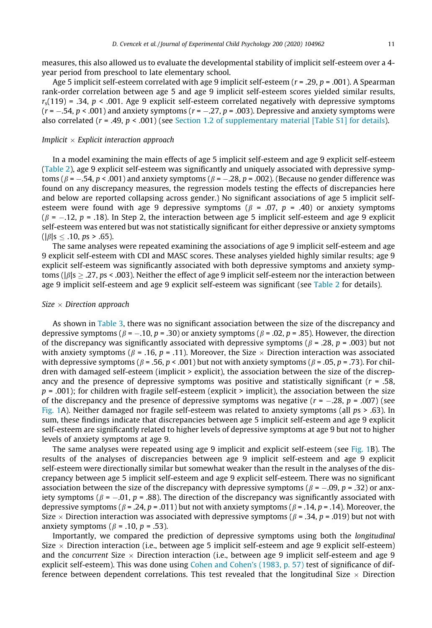measures, this also allowed us to evaluate the developmental stability of implicit self-esteem over a 4 year period from preschool to late elementary school.

Age 5 implicit self-esteem correlated with age 9 implicit self-esteem ( $r = .29$ ,  $p = .001$ ). A Spearman rank-order correlation between age 5 and age 9 implicit self-esteem scores yielded similar results,  $r_s(119) = 0.34$ , p < .001. Age 9 explicit self-esteem correlated negatively with depressive symptoms  $(r = -.54, p < .001)$  and anxiety symptoms  $(r = -.27, p = .003)$ . Depressive and anxiety symptoms were also correlated ( $r = .49$ ,  $p < .001$ ) (see Section 1.2 of supplementary material [Table S1] for details).

#### Implicit  $\times$  Explicit interaction approach

In a model examining the main effects of age 5 implicit self-esteem and age 9 explicit self-esteem [\(Table 2\)](#page-11-0), age 9 explicit self-esteem was significantly and uniquely associated with depressive symptoms ( $\beta$  = -.54, p < .001) and anxiety symptoms ( $\beta$  = -.28, p = .002). (Because no gender difference was found on any discrepancy measures, the regression models testing the effects of discrepancies here and below are reported collapsing across gender.) No significant associations of age 5 implicit selfesteem were found with age 9 depressive symptoms ( $\beta$  = .07, p = .40) or anxiety symptoms  $(\beta = -.12, p = .18)$ . In Step 2, the interaction between age 5 implicit self-esteem and age 9 explicit self-esteem was entered but was not statistically significant for either depressive or anxiety symptoms  $(|\beta|s < .10, ps > .65)$ .

The same analyses were repeated examining the associations of age 9 implicit self-esteem and age 9 explicit self-esteem with CDI and MASC scores. These analyses yielded highly similar results; age 9 explicit self-esteem was significantly associated with both depressive symptoms and anxiety symptoms ( $|\beta|$ s  $> .27$ , ps < .003). Neither the effect of age 9 implicit self-esteem nor the interaction between age 9 implicit self-esteem and age 9 explicit self-esteem was significant (see [Table 2](#page-11-0) for details).

### Size  $\times$  Direction approach

As shown in [Table 3,](#page-11-0) there was no significant association between the size of the discrepancy and depressive symptoms ( $\beta$  = -.10, p = .30) or anxiety symptoms ( $\beta$  = .02, p = .85). However, the direction of the discrepancy was significantly associated with depressive symptoms ( $\beta$  = .28, p = .003) but not with anxiety symptoms ( $\beta$  = .16, p = .11). Moreover, the Size  $\times$  Direction interaction was associated with depressive symptoms ( $\beta$  = .56, p < .001) but not with anxiety symptoms ( $\beta$  = .05, p = .73). For children with damaged self-esteem (implicit > explicit), the association between the size of the discrepancy and the presence of depressive symptoms was positive and statistically significant ( $r = .58$ ,  $p = .001$ ); for children with fragile self-esteem (explicit > implicit), the association between the size of the discrepancy and the presence of depressive symptoms was negative  $(r = -.28, p = .007)$  (see [Fig. 1](#page-12-0)A). Neither damaged nor fragile self-esteem was related to anxiety symptoms (all ps > .63). In sum, these findings indicate that discrepancies between age 5 implicit self-esteem and age 9 explicit self-esteem are significantly related to higher levels of depressive symptoms at age 9 but not to higher levels of anxiety symptoms at age 9.

The same analyses were repeated using age 9 implicit and explicit self-esteem (see [Fig. 1](#page-12-0)B). The results of the analyses of discrepancies between age 9 implicit self-esteem and age 9 explicit self-esteem were directionally similar but somewhat weaker than the result in the analyses of the discrepancy between age 5 implicit self-esteem and age 9 explicit self-esteem. There was no significant association between the size of the discrepancy with depressive symptoms ( $\beta$  = -.09, p = .32) or anxiety symptoms ( $\beta$  = -.01, p = .88). The direction of the discrepancy was significantly associated with depressive symptoms ( $\beta$  = .24, p = .011) but not with anxiety symptoms ( $\beta$  = .14, p = .14). Moreover, the Size  $\times$  Direction interaction was associated with depressive symptoms ( $\beta$  = .34, p = .019) but not with anxiety symptoms ( $\beta$  = .10,  $p$  = .53).

Importantly, we compared the prediction of depressive symptoms using both the longitudinal Size  $\times$  Direction interaction (i.e., between age 5 implicit self-esteem and age 9 explicit self-esteem) and the concurrent Size  $\times$  Direction interaction (i.e., between age 9 implicit self-esteem and age 9 explicit self-esteem). This was done using [Cohen and Cohen's \(1983, p. 57\)](#page-16-0) test of significance of difference between dependent correlations. This test revealed that the longitudinal Size  $\times$  Direction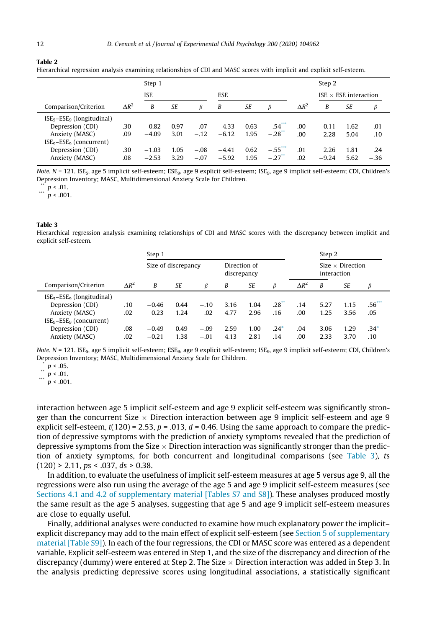#### <span id="page-11-0"></span>Table 2

Hierarchical regression analysis examining relationships of CDI and MASC scores with implicit and explicit self-esteem.

|                                |              | Step 1     |           |            |         |           |                     | Step 2       |                              |      |        |
|--------------------------------|--------------|------------|-----------|------------|---------|-----------|---------------------|--------------|------------------------------|------|--------|
|                                |              | <b>ISE</b> |           | <b>ESE</b> |         |           |                     |              | ISE $\times$ ESE interaction |      |        |
| Comparison/Criterion           | $\Delta R^2$ | B          | <b>SE</b> | ß          | B       | <b>SE</b> | ß                   | $\Delta R^2$ | B                            | SE   | B      |
| $ISE_5 - ESE_9$ (longitudinal) |              |            |           |            |         |           |                     |              |                              |      |        |
| Depression (CDI)               | .30          | 0.82       | 0.97      | .07        | $-4.33$ | 0.63      | $-.54$              | .00          | $-0.11$                      | 1.62 | $-.01$ |
| Anxiety (MASC)                 | .09          | $-4.09$    | 3.01      | $-.12$     | $-6.12$ | 1.95      | $-.28$              | .00          | 2.28                         | 5.04 | .10    |
| $ISE9-ESE9$ (concurrent)       |              |            |           |            |         |           |                     |              |                              |      |        |
| Depression (CDI)               | .30          | $-1.03$    | 1.05      | $-.08$     | $-4.41$ | 0.62      | $-.55$ <sup>"</sup> | .01          | 2.26                         | 1.81 | .24    |
| Anxiety (MASC)                 | .08          | $-2.53$    | 3.29      | $-.07$     | $-5.92$ | 1.95      | $-.27$              | .02          | $-9.24$                      | 5.62 | $-.36$ |

Note. N = 121. ISE<sub>5</sub>, age 5 implicit self-esteem; ESE<sub>9</sub>, age 9 explicit self-esteem; ISE<sub>9</sub>, age 9 implicit self-esteem; CDI, Children's Depression Inventory; MASC, Multidimensional Anxiety Scale for Children.

 $p < .01$ .

\*\*\*  $p < .001$ .

#### Table 3

Hierarchical regression analysis examining relationships of CDI and MASC scores with the discrepancy between implicit and explicit self-esteem.

|                              |               | Step 1              |      |                             |      |           |                |                                        |      |           |                  |
|------------------------------|---------------|---------------------|------|-----------------------------|------|-----------|----------------|----------------------------------------|------|-----------|------------------|
|                              |               | Size of discrepancy |      | Direction of<br>discrepancy |      |           |                | Size $\times$ Direction<br>interaction |      |           |                  |
| Comparison/Criterion         | $\Lambda R^2$ | B                   | SE   | B                           | B    | <b>SE</b> | β              | $\Delta R^2$                           | B    | <b>SE</b> | β                |
| $ISE_5-ESE_9$ (longitudinal) |               |                     |      |                             |      |           |                |                                        |      |           |                  |
| Depression (CDI)             | .10           | $-0.46$             | 0.44 | $-.10$                      | 3.16 | 1.04      | $28^{\degree}$ | .14                                    | 5.27 | 1.15      | .56 <sup>2</sup> |
| Anxiety (MASC)               | .02           | 0.23                | 1.24 | .02                         | 4.77 | 2.96      | .16            | .00                                    | 1.25 | 3.56      | .05              |
| $ISE9-ESE9$ (concurrent)     |               |                     |      |                             |      |           |                |                                        |      |           |                  |
| Depression (CDI)             | .08           | $-0.49$             | 0.49 | $-.09$                      | 2.59 | 1.00      | $.24*$         | .04                                    | 3.06 | 1.29      | $.34*$           |
| Anxiety (MASC)               | .02           | $-0.21$             | 1.38 | $-.01$                      | 4.13 | 2.81      | .14            | .00                                    | 2.33 | 3.70      | .10              |

 $Note. N = 121. ISE<sub>5</sub>, age 5 implicit self-esteem; ESE<sub>9</sub>, age 9 explicit self-esteem; ISE<sub>9</sub>, age 9 implicit set of 1201.$ Depression Inventory; MASC, Multidimensional Anxiety Scale for Children.

 $p < .05$ .

 $\frac{m}{m}$  p < .01.

 $p < .001$ .

interaction between age 5 implicit self-esteem and age 9 explicit self-esteem was significantly stronger than the concurrent Size  $\times$  Direction interaction between age 9 implicit self-esteem and age 9 explicit self-esteem,  $t(120) = 2.53$ ,  $p = .013$ ,  $d = 0.46$ . Using the same approach to compare the prediction of depressive symptoms with the prediction of anxiety symptoms revealed that the prediction of depressive symptoms from the Size  $\times$  Direction interaction was significantly stronger than the prediction of anxiety symptoms, for both concurrent and longitudinal comparisons (see Table 3), ts  $(120)$  > 2.11, ps < .037, ds > 0.38.

In addition, to evaluate the usefulness of implicit self-esteem measures at age 5 versus age 9, all the regressions were also run using the average of the age 5 and age 9 implicit self-esteem measures (see Sections 4.1 and 4.2 of supplementary material [Tables S7 and S8]). These analyses produced mostly the same result as the age 5 analyses, suggesting that age 5 and age 9 implicit self-esteem measures are close to equally useful.

Finally, additional analyses were conducted to examine how much explanatory power the implicit– explicit discrepancy may add to the main effect of explicit self-esteem (see Section 5 of supplementary material [Table S9]). In each of the four regressions, the CDI or MASC score was entered as a dependent variable. Explicit self-esteem was entered in Step 1, and the size of the discrepancy and direction of the discrepancy (dummy) were entered at Step 2. The Size  $\times$  Direction interaction was added in Step 3. In the analysis predicting depressive scores using longitudinal associations, a statistically significant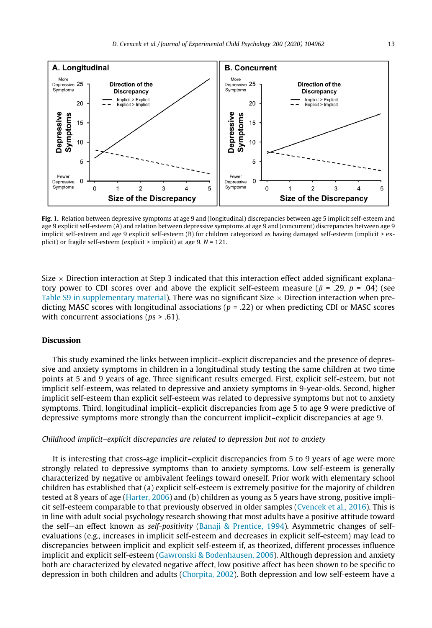<span id="page-12-0"></span>

Fig. 1. Relation between depressive symptoms at age 9 and (longitudinal) discrepancies between age 5 implicit self-esteem and age 9 explicit self-esteem (A) and relation between depressive symptoms at age 9 and (concurrent) discrepancies between age 9 implicit self-esteem and age 9 explicit self-esteem (B) for children categorized as having damaged self-esteem (implicit > explicit) or fragile self-esteem (explicit  $>$  implicit) at age 9.  $N = 121$ .

Size  $\times$  Direction interaction at Step 3 indicated that this interaction effect added significant explanatory power to CDI scores over and above the explicit self-esteem measure ( $\beta$  = .29, p = .04) (see Table S9 in supplementary material). There was no significant Size  $\times$  Direction interaction when predicting MASC scores with longitudinal associations ( $p = 0.22$ ) or when predicting CDI or MASC scores with concurrent associations ( $ps$  > .61).

# Discussion

This study examined the links between implicit–explicit discrepancies and the presence of depressive and anxiety symptoms in children in a longitudinal study testing the same children at two time points at 5 and 9 years of age. Three significant results emerged. First, explicit self-esteem, but not implicit self-esteem, was related to depressive and anxiety symptoms in 9-year-olds. Second, higher implicit self-esteem than explicit self-esteem was related to depressive symptoms but not to anxiety symptoms. Third, longitudinal implicit–explicit discrepancies from age 5 to age 9 were predictive of depressive symptoms more strongly than the concurrent implicit–explicit discrepancies at age 9.

#### Childhood implicit–explicit discrepancies are related to depression but not to anxiety

It is interesting that cross-age implicit–explicit discrepancies from 5 to 9 years of age were more strongly related to depressive symptoms than to anxiety symptoms. Low self-esteem is generally characterized by negative or ambivalent feelings toward oneself. Prior work with elementary school children has established that (a) explicit self-esteem is extremely positive for the majority of children tested at 8 years of age [\(Harter, 2006](#page-17-0)) and (b) children as young as 5 years have strong, positive implicit self-esteem comparable to that previously observed in older samples [\(Cvencek et al., 2016\)](#page-17-0). This is in line with adult social psychology research showing that most adults have a positive attitude toward the self—an effect known as self-positivity ([Banaji & Prentice, 1994\)](#page-16-0). Asymmetric changes of selfevaluations (e.g., increases in implicit self-esteem and decreases in explicit self-esteem) may lead to discrepancies between implicit and explicit self-esteem if, as theorized, different processes influence implicit and explicit self-esteem [\(Gawronski & Bodenhausen, 2006](#page-17-0)). Although depression and anxiety both are characterized by elevated negative affect, low positive affect has been shown to be specific to depression in both children and adults ([Chorpita, 2002](#page-16-0)). Both depression and low self-esteem have a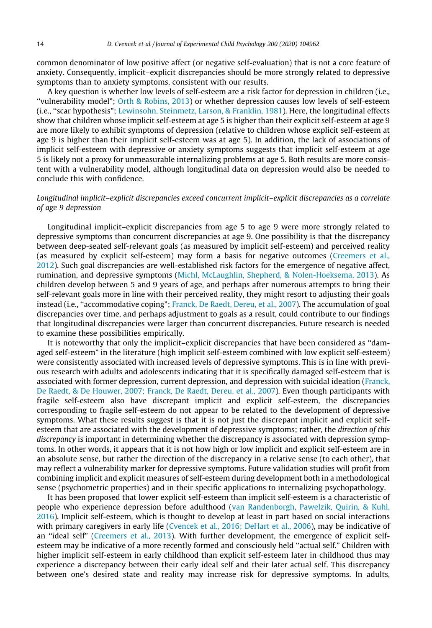common denominator of low positive affect (or negative self-evaluation) that is not a core feature of anxiety. Consequently, implicit–explicit discrepancies should be more strongly related to depressive symptoms than to anxiety symptoms, consistent with our results.

A key question is whether low levels of self-esteem are a risk factor for depression in children (i.e., ''vulnerability model"; [Orth & Robins, 2013](#page-18-0)) or whether depression causes low levels of self-esteem (i.e., ''scar hypothesis"; [Lewinsohn, Steinmetz, Larson, & Franklin, 1981](#page-18-0)). Here, the longitudinal effects show that children whose implicit self-esteem at age 5 is higher than their explicit self-esteem at age 9 are more likely to exhibit symptoms of depression (relative to children whose explicit self-esteem at age 9 is higher than their implicit self-esteem was at age 5). In addition, the lack of associations of implicit self-esteem with depressive or anxiety symptoms suggests that implicit self-esteem at age 5 is likely not a proxy for unmeasurable internalizing problems at age 5. Both results are more consistent with a vulnerability model, although longitudinal data on depression would also be needed to conclude this with confidence.

## Longitudinal implicit–explicit discrepancies exceed concurrent implicit–explicit discrepancies as a correlate of age 9 depression

Longitudinal implicit–explicit discrepancies from age 5 to age 9 were more strongly related to depressive symptoms than concurrent discrepancies at age 9. One possibility is that the discrepancy between deep-seated self-relevant goals (as measured by implicit self-esteem) and perceived reality (as measured by explicit self-esteem) may form a basis for negative outcomes ([Creemers et al.,](#page-17-0) [2012\)](#page-17-0). Such goal discrepancies are well-established risk factors for the emergence of negative affect, rumination, and depressive symptoms ([Michl, McLaughlin, Shepherd, & Nolen-Hoeksema, 2013](#page-18-0)). As children develop between 5 and 9 years of age, and perhaps after numerous attempts to bring their self-relevant goals more in line with their perceived reality, they might resort to adjusting their goals instead (i.e., ''accommodative coping"; [Franck, De Raedt, Dereu, et al., 2007\)](#page-17-0). The accumulation of goal discrepancies over time, and perhaps adjustment to goals as a result, could contribute to our findings that longitudinal discrepancies were larger than concurrent discrepancies. Future research is needed to examine these possibilities empirically.

It is noteworthy that only the implicit–explicit discrepancies that have been considered as ''damaged self-esteem" in the literature (high implicit self-esteem combined with low explicit self-esteem) were consistently associated with increased levels of depressive symptoms. This is in line with previous research with adults and adolescents indicating that it is specifically damaged self-esteem that is associated with former depression, current depression, and depression with suicidal ideation [\(Franck,](#page-17-0) [De Raedt, & De Houwer, 2007; Franck, De Raedt, Dereu, et al., 2007](#page-17-0)). Even though participants with fragile self-esteem also have discrepant implicit and explicit self-esteem, the discrepancies corresponding to fragile self-esteem do not appear to be related to the development of depressive symptoms. What these results suggest is that it is not just the discrepant implicit and explicit selfesteem that are associated with the development of depressive symptoms; rather, the direction of this discrepancy is important in determining whether the discrepancy is associated with depression symptoms. In other words, it appears that it is not how high or low implicit and explicit self-esteem are in an absolute sense, but rather the direction of the discrepancy in a relative sense (to each other), that may reflect a vulnerability marker for depressive symptoms. Future validation studies will profit from combining implicit and explicit measures of self-esteem during development both in a methodological sense (psychometric properties) and in their specific applications to internalizing psychopathology.

It has been proposed that lower explicit self-esteem than implicit self-esteem is a characteristic of people who experience depression before adulthood [\(van Randenborgh, Pawelzik, Quirin, & Kuhl,](#page-18-0) [2016\)](#page-18-0). Implicit self-esteem, which is thought to develop at least in part based on social interactions with primary caregivers in early life [\(Cvencek et al., 2016; DeHart et al., 2006\)](#page-17-0), may be indicative of an ''ideal self" [\(Creemers et al., 2013\)](#page-17-0). With further development, the emergence of explicit selfesteem may be indicative of a more recently formed and consciously held ''actual self." Children with higher implicit self-esteem in early childhood than explicit self-esteem later in childhood thus may experience a discrepancy between their early ideal self and their later actual self. This discrepancy between one's desired state and reality may increase risk for depressive symptoms. In adults,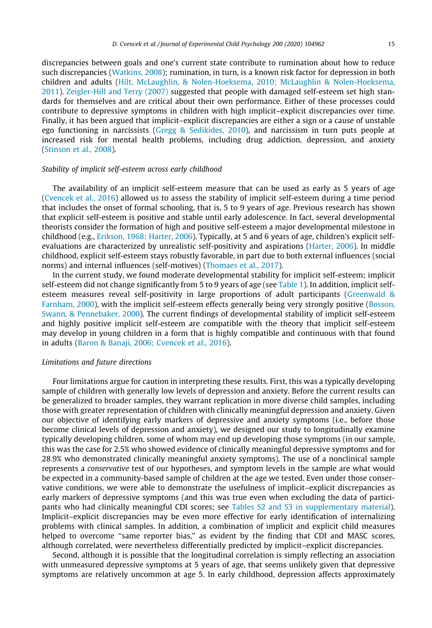discrepancies between goals and one's current state contribute to rumination about how to reduce such discrepancies [\(Watkins, 2008\)](#page-18-0); rumination, in turn, is a known risk factor for depression in both children and adults [\(Hilt, McLaughlin, & Nolen-Hoeksema, 2010; McLaughlin & Nolen-Hoeksema,](#page-17-0) [2011](#page-17-0)). [Zeigler-Hill and Terry \(2007\)](#page-18-0) suggested that people with damaged self-esteem set high standards for themselves and are critical about their own performance. Either of these processes could contribute to depressive symptoms in children with high implicit–explicit discrepancies over time. Finally, it has been argued that implicit–explicit discrepancies are either a sign or a cause of unstable ego functioning in narcissists ([Gregg & Sedikides, 2010](#page-17-0)), and narcissism in turn puts people at increased risk for mental health problems, including drug addiction, depression, and anxiety [\(Stinson et al., 2008](#page-18-0)).

## Stability of implicit self-esteem across early childhood

The availability of an implicit self-esteem measure that can be used as early as 5 years of age [\(Cvencek et al., 2016\)](#page-17-0) allowed us to assess the stability of implicit self-esteem during a time period that includes the onset of formal schooling, that is, 5 to 9 years of age. Previous research has shown that explicit self-esteem is positive and stable until early adolescence. In fact, several developmental theorists consider the formation of high and positive self-esteem a major developmental milestone in childhood (e.g., [Erikson, 1968; Harter, 2006\)](#page-17-0). Typically, at 5 and 6 years of age, children's explicit selfevaluations are characterized by unrealistic self-positivity and aspirations ([Harter, 2006](#page-17-0)). In middle childhood, explicit self-esteem stays robustly favorable, in part due to both external influences (social norms) and internal influences (self-motives) [\(Thomaes et al., 2017](#page-18-0)).

In the current study, we found moderate developmental stability for implicit self-esteem; implicit self-esteem did not change significantly from 5 to 9 years of age (see [Table 1\)](#page-9-0). In addition, implicit selfesteem measures reveal self-positivity in large proportions of adult participants [\(Greenwald &](#page-17-0) [Farnham, 2000](#page-17-0)), with the implicit self-esteem effects generally being very strongly positive ([Bosson,](#page-16-0) [Swann, & Pennebaker, 2000](#page-16-0)). The current findings of developmental stability of implicit self-esteem and highly positive implicit self-esteem are compatible with the theory that implicit self-esteem may develop in young children in a form that is highly compatible and continuous with that found in adults [\(Baron & Banaji, 2006; Cvencek et al., 2016\)](#page-16-0).

#### Limitations and future directions

Four limitations argue for caution in interpreting these results. First, this was a typically developing sample of children with generally low levels of depression and anxiety. Before the current results can be generalized to broader samples, they warrant replication in more diverse child samples, including those with greater representation of children with clinically meaningful depression and anxiety. Given our objective of identifying early markers of depressive and anxiety symptoms (i.e., before those become clinical levels of depression and anxiety), we designed our study to longitudinally examine typically developing children, some of whom may end up developing those symptoms (in our sample, this was the case for 2.5% who showed evidence of clinically meaningful depressive symptoms and for 28.9% who demonstrated clinically meaningful anxiety symptoms). The use of a nonclinical sample represents a conservative test of our hypotheses, and symptom levels in the sample are what would be expected in a community-based sample of children at the age we tested. Even under those conservative conditions, we were able to demonstrate the usefulness of implicit–explicit discrepancies as early markers of depressive symptoms (and this was true even when excluding the data of participants who had clinically meaningful CDI scores; see Tables S2 and S3 in supplementary material). Implicit–explicit discrepancies may be even more effective for early identification of internalizing problems with clinical samples. In addition, a combination of implicit and explicit child measures helped to overcome "same reporter bias," as evident by the finding that CDI and MASC scores, although correlated, were nevertheless differentially predicted by implicit–explicit discrepancies.

Second, although it is possible that the longitudinal correlation is simply reflecting an association with unmeasured depressive symptoms at 5 years of age, that seems unlikely given that depressive symptoms are relatively uncommon at age 5. In early childhood, depression affects approximately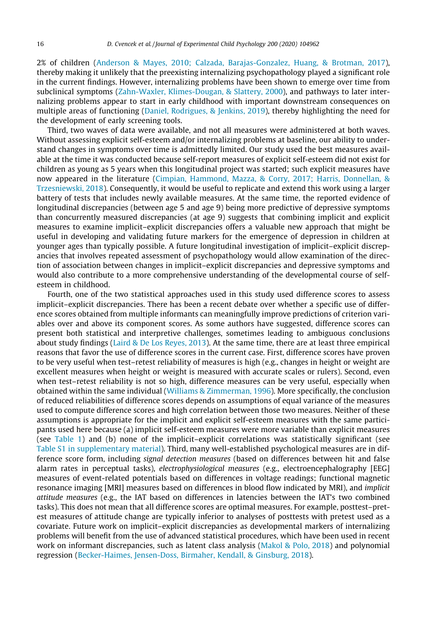2% of children ([Anderson & Mayes, 2010; Calzada, Barajas-Gonzalez, Huang, & Brotman, 2017\)](#page-16-0), thereby making it unlikely that the preexisting internalizing psychopathology played a significant role in the current findings. However, internalizing problems have been shown to emerge over time from subclinical symptoms [\(Zahn-Waxler, Klimes-Dougan, & Slattery, 2000](#page-18-0)), and pathways to later internalizing problems appear to start in early childhood with important downstream consequences on multiple areas of functioning ([Daniel, Rodrigues, & Jenkins, 2019](#page-17-0)), thereby highlighting the need for the development of early screening tools.

Third, two waves of data were available, and not all measures were administered at both waves. Without assessing explicit self-esteem and/or internalizing problems at baseline, our ability to understand changes in symptoms over time is admittedly limited. Our study used the best measures available at the time it was conducted because self-report measures of explicit self-esteem did not exist for children as young as 5 years when this longitudinal project was started; such explicit measures have now appeared in the literature ([Cimpian, Hammond, Mazza, & Corry, 2017; Harris, Donnellan, &](#page-16-0) [Trzesniewski, 2018](#page-16-0)). Consequently, it would be useful to replicate and extend this work using a larger battery of tests that includes newly available measures. At the same time, the reported evidence of longitudinal discrepancies (between age 5 and age 9) being more predictive of depressive symptoms than concurrently measured discrepancies (at age 9) suggests that combining implicit and explicit measures to examine implicit–explicit discrepancies offers a valuable new approach that might be useful in developing and validating future markers for the emergence of depression in children at younger ages than typically possible. A future longitudinal investigation of implicit–explicit discrepancies that involves repeated assessment of psychopathology would allow examination of the direction of association between changes in implicit–explicit discrepancies and depressive symptoms and would also contribute to a more comprehensive understanding of the developmental course of selfesteem in childhood.

Fourth, one of the two statistical approaches used in this study used difference scores to assess implicit–explicit discrepancies. There has been a recent debate over whether a specific use of difference scores obtained from multiple informants can meaningfully improve predictions of criterion variables over and above its component scores. As some authors have suggested, difference scores can present both statistical and interpretive challenges, sometimes leading to ambiguous conclusions about study findings ([Laird & De Los Reyes, 2013](#page-18-0)). At the same time, there are at least three empirical reasons that favor the use of difference scores in the current case. First, difference scores have proven to be very useful when test–retest reliability of measures is high (e.g., changes in height or weight are excellent measures when height or weight is measured with accurate scales or rulers). Second, even when test–retest reliability is not so high, difference measures can be very useful, especially when obtained within the same individual ([Williams & Zimmerman, 1996](#page-18-0)). More specifically, the conclusion of reduced reliabilities of difference scores depends on assumptions of equal variance of the measures used to compute difference scores and high correlation between those two measures. Neither of these assumptions is appropriate for the implicit and explicit self-esteem measures with the same participants used here because (a) implicit self-esteem measures were more variable than explicit measures (see [Table 1\)](#page-9-0) and (b) none of the implicit–explicit correlations was statistically significant (see Table S1 in supplementary material). Third, many well-established psychological measures are in difference score form, including signal detection measures (based on differences between hit and false alarm rates in perceptual tasks), electrophysiological measures (e.g., electroencephalography [EEG] measures of event-related potentials based on differences in voltage readings; functional magnetic resonance imaging [MRI] measures based on differences in blood flow indicated by MRI), and implicit attitude measures (e.g., the IAT based on differences in latencies between the IAT's two combined tasks). This does not mean that all difference scores are optimal measures. For example, posttest–pretest measures of attitude change are typically inferior to analyses of posttests with pretest used as a covariate. Future work on implicit–explicit discrepancies as developmental markers of internalizing problems will benefit from the use of advanced statistical procedures, which have been used in recent work on informant discrepancies, such as latent class analysis ([Makol & Polo, 2018](#page-18-0)) and polynomial regression [\(Becker-Haimes, Jensen-Doss, Birmaher, Kendall, & Ginsburg, 2018\)](#page-16-0).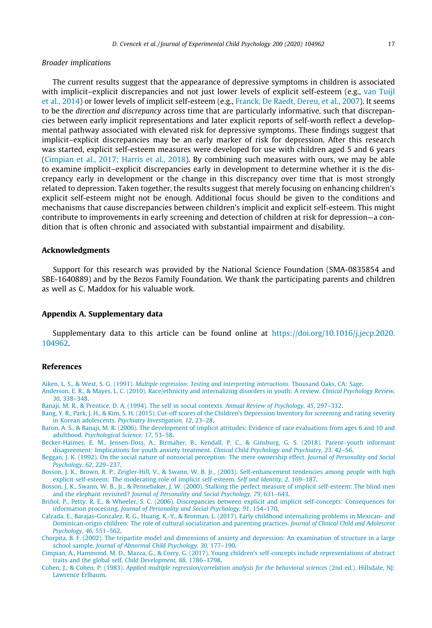#### <span id="page-16-0"></span>Broader implications

The current results suggest that the appearance of depressive symptoms in children is associated with implicit–explicit discrepancies and not just lower levels of explicit self-esteem (e.g., [van Tuijl](#page-18-0) [et al., 2014](#page-18-0)) or lower levels of implicit self-esteem (e.g., [Franck, De Raedt, Dereu, et al., 2007\)](#page-17-0). It seems to be the direction and discrepancy across time that are particularly informative, such that discrepancies between early implicit representations and later explicit reports of self-worth reflect a developmental pathway associated with elevated risk for depressive symptoms. These findings suggest that implicit–explicit discrepancies may be an early marker of risk for depression. After this research was started, explicit self-esteem measures were developed for use with children aged 5 and 6 years (Cimpian et al., 2017; Harris et al., 2018). By combining such measures with ours, we may be able to examine implicit–explicit discrepancies early in development to determine whether it is the discrepancy early in development or the change in this discrepancy over time that is most strongly related to depression. Taken together, the results suggest that merely focusing on enhancing children's explicit self-esteem might not be enough. Additional focus should be given to the conditions and mechanisms that cause discrepancies between children's implicit and explicit self-esteem. This might contribute to improvements in early screening and detection of children at risk for depression—a condition that is often chronic and associated with substantial impairment and disability.

## Acknowledgments

Support for this research was provided by the National Science Foundation (SMA-0835854 and SBE-1640889) and by the Bezos Family Foundation. We thank the participating parents and children as well as C. Maddox for his valuable work.

### Appendix A. Supplementary data

Supplementary data to this article can be found online at [https://doi.org/10.1016/j.jecp.2020.](https://doi.org/10.1016/j.jecp.2020.104962) [104962.](https://doi.org/10.1016/j.jecp.2020.104962)

## References

Aiken, L. S., & West, S. G. (1991). [Multiple regression: Testing and interpreting interactions](http://refhub.elsevier.com/S0022-0965(20)30416-1/h0005). Thousand Oaks, CA: Sage.

[Anderson, E. R., & Mayes, L. C. \(2010\). Race/ethnicity and internalizing disorders in youth: A review.](http://refhub.elsevier.com/S0022-0965(20)30416-1/h0010) Clinical Psychology Review, 30[, 338–348.](http://refhub.elsevier.com/S0022-0965(20)30416-1/h0010)

[Banaji, M. R., & Prentice, D. A. \(1994\). The self in social contexts.](http://refhub.elsevier.com/S0022-0965(20)30416-1/h0015) Annual Review of Psychology, 45, 297–332.

[Bang, Y. R., Park, J. H., & Kim, S. H. \(2015\). Cut-off scores of the Children's Depression Inventory for screening and rating severity](http://refhub.elsevier.com/S0022-0965(20)30416-1/h0020) in Korean adolescents. [Psychiatry Investigation, 12](http://refhub.elsevier.com/S0022-0965(20)30416-1/h0020), 23–28.

- [Baron, A. S., & Banaji, M. R. \(2006\). The development of implicit attitudes: Evidence of race evaluations from ages 6 and 10 and](http://refhub.elsevier.com/S0022-0965(20)30416-1/h0025) adulthood. [Psychological Science, 17](http://refhub.elsevier.com/S0022-0965(20)30416-1/h0025), 53–58.
- [Becker-Haimes, E. M., Jensen-Doss, A., Birmaher, B., Kendall, P. C., & Ginsburg, G. S. \(2018\). Parent–youth informant](http://refhub.elsevier.com/S0022-0965(20)30416-1/h0030) [disagreement: Implications for youth anxiety treatment.](http://refhub.elsevier.com/S0022-0965(20)30416-1/h0030) Clinical Child Psychology and Psychiatry, 23, 42–56.
- [Beggan, J. K. \(1992\). On the social nature of nonsocial perception: The mere ownership effect.](http://refhub.elsevier.com/S0022-0965(20)30416-1/h0035) Journal of Personality and Social [Psychology, 62](http://refhub.elsevier.com/S0022-0965(20)30416-1/h0035), 229–237.

[Bosson, J. K., Brown, R. P., Zeigler-Hill, V., & Swann, W. B. Jr., \(2003\). Self-enhancement tendencies among people with high](http://refhub.elsevier.com/S0022-0965(20)30416-1/h0040) [explicit self-esteem: The moderating role of implicit self-esteem.](http://refhub.elsevier.com/S0022-0965(20)30416-1/h0040) Self and Identity, 2, 169–187.

[Bosson, J. K., Swann, W. B., Jr., & Pennebaker, J. W. \(2000\). Stalking the perfect measure of implicit self-esteem: The blind men](http://refhub.elsevier.com/S0022-0965(20)30416-1/h0045) and the elephant revisited? [Journal of Personality and Social Psychology, 79](http://refhub.elsevier.com/S0022-0965(20)30416-1/h0045), 631–643.

[Briñol, P., Petty, R. E., & Wheeler, S. C. \(2006\). Discrepancies between explicit and implicit self-concepts: Consequences for](http://refhub.elsevier.com/S0022-0965(20)30416-1/h0050) information processing. [Journal of Personality and Social Psychology, 91](http://refhub.elsevier.com/S0022-0965(20)30416-1/h0050), 154–170.

[Calzada, E., Barajas-Gonzalez, R. G., Huang, K.-Y., & Brotman, L. \(2017\). Early childhood internalizing problems in Mexican- and](http://refhub.elsevier.com/S0022-0965(20)30416-1/h0055) [Dominican-origin children: The role of cultural socialization and parenting practices.](http://refhub.elsevier.com/S0022-0965(20)30416-1/h0055) Journal of Clinical Child and Adolescent [Psychology, 46](http://refhub.elsevier.com/S0022-0965(20)30416-1/h0055), 551–562.

[Chorpita, B. F. \(2002\). The tripartite model and dimensions of anxiety and depression: An examination of structure in a large](http://refhub.elsevier.com/S0022-0965(20)30416-1/h0060) school sample. [Journal of Abnormal Child Psychology, 30](http://refhub.elsevier.com/S0022-0965(20)30416-1/h0060), 177–190.

[Cimpian, A., Hammond, M. D., Mazza, G., & Corry, G. \(2017\). Young children's self-concepts include representations of abstract](http://refhub.elsevier.com/S0022-0965(20)30416-1/h0065) [traits and the global self.](http://refhub.elsevier.com/S0022-0965(20)30416-1/h0065) Child Development, 88, 1786–1798.

Cohen, J., & Cohen, P. (1983). [Applied multiple regression/correlation analysis for the behavioral sciences](http://refhub.elsevier.com/S0022-0965(20)30416-1/h0070) (2nd ed.). Hillsdale, NJ: [Lawrence Erlbaum.](http://refhub.elsevier.com/S0022-0965(20)30416-1/h0070)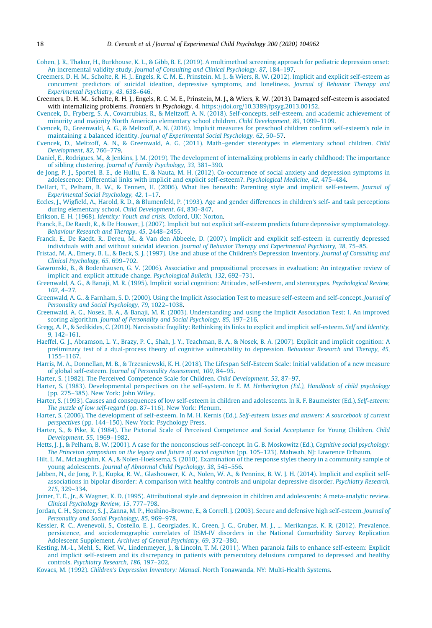- <span id="page-17-0"></span>[Cohen, J. R., Thakur, H., Burkhouse, K. L., & Gibb, B. E. \(2019\). A multimethod screening approach for pediatric depression onset:](http://refhub.elsevier.com/S0022-0965(20)30416-1/h0075) An incremental validity study. [Journal of Consulting and Clinical Psychology, 87](http://refhub.elsevier.com/S0022-0965(20)30416-1/h0075), 184–197.
- [Creemers, D. H. M., Scholte, R. H. J., Engels, R. C. M. E., Prinstein, M. J., & Wiers, R. W. \(2012\). Implicit and explicit self-esteem as](http://refhub.elsevier.com/S0022-0965(20)30416-1/h0080) [concurrent predictors of suicidal ideation, depressive symptoms, and loneliness.](http://refhub.elsevier.com/S0022-0965(20)30416-1/h0080) Journal of Behavior Therapy and [Experimental Psychiatry, 43](http://refhub.elsevier.com/S0022-0965(20)30416-1/h0080), 638–646.
- Creemers, D. H. M., Scholte, R. H. J., Engels, R. C. M. E., Prinstein, M. J., & Wiers, R. W. (2013). Damaged self-esteem is associated with internalizing problems. Frontiers in Psychology, 4. [https://doi.org/10.3389/fpsyg.2013.00152.](https://doi.org/10.3389/fpsyg.2013.00152)
- [Cvencek, D., Fryberg, S. A., Covarrubias, R., & Meltzoff, A. N. \(2018\). Self-concepts, self-esteem, and academic achievement of](http://refhub.elsevier.com/S0022-0965(20)30416-1/h0090) [minority and majority North American elementary school children.](http://refhub.elsevier.com/S0022-0965(20)30416-1/h0090) Child Development, 89, 1099–1109.
- [Cvencek, D., Greenwald, A. G., & Meltzoff, A. N. \(2016\). Implicit measures for preschool children confirm self-esteem's role in](http://refhub.elsevier.com/S0022-0965(20)30416-1/h0100) maintaining a balanced identity. [Journal of Experimental Social Psychology, 62](http://refhub.elsevier.com/S0022-0965(20)30416-1/h0100), 50–57.
- [Cvencek, D., Meltzoff, A. N., & Greenwald, A. G. \(2011\). Math–gender stereotypes in elementary school children.](http://refhub.elsevier.com/S0022-0965(20)30416-1/h0105) Child [Development, 82](http://refhub.elsevier.com/S0022-0965(20)30416-1/h0105), 766–779.
- [Daniel, E., Rodrigues, M., & Jenkins, J. M. \(2019\). The development of internalizing problems in early childhood: The importance](http://refhub.elsevier.com/S0022-0965(20)30416-1/h0110) of sibling clustering. [Journal of Family Psychology, 33](http://refhub.elsevier.com/S0022-0965(20)30416-1/h0110), 381–390.
- [de Jong, P. J., Sportel, B. E., de Hullu, E., & Nauta, M. H. \(2012\). Co-occurrence of social anxiety and depression symptoms in](http://refhub.elsevier.com/S0022-0965(20)30416-1/h0115) [adolescence: Differential links with implicit and explicit self-esteem?.](http://refhub.elsevier.com/S0022-0965(20)30416-1/h0115) Psychological Medicine, 42, 475–484.
- [DeHart, T., Pelham, B. W., & Tennen, H. \(2006\). What lies beneath: Parenting style and implicit self-esteem.](http://refhub.elsevier.com/S0022-0965(20)30416-1/h0120) Journal of [Experimental Social Psychology, 42](http://refhub.elsevier.com/S0022-0965(20)30416-1/h0120), 1–17.
- [Eccles, J., Wigfield, A., Harold, R. D., & Blumenfeld, P. \(1993\). Age and gender differences in children's self- and task perceptions](http://refhub.elsevier.com/S0022-0965(20)30416-1/h0125) [during elementary school.](http://refhub.elsevier.com/S0022-0965(20)30416-1/h0125) Child Development, 64, 830–847.
- Erikson, E. H. (1968). [Identity: Youth and crisis](http://refhub.elsevier.com/S0022-0965(20)30416-1/h0130). Oxford, UK: Norton.
- [Franck, E., De Raedt, R., & De Houwer, J. \(2007\). Implicit but not explicit self-esteem predicts future depressive symptomatology.](http://refhub.elsevier.com/S0022-0965(20)30416-1/h0135) [Behaviour Research and Therapy, 45](http://refhub.elsevier.com/S0022-0965(20)30416-1/h0135), 2448–2455.
- [Franck, E., De Raedt, R., Dereu, M., & Van den Abbeele, D. \(2007\). Implicit and explicit self-esteem in currently depressed](http://refhub.elsevier.com/S0022-0965(20)30416-1/h0140) individuals with and without suicidal ideation. [Journal of Behavior Therapy and Experimental Psychiatry, 38](http://refhub.elsevier.com/S0022-0965(20)30416-1/h0140), 75–85.
- [Fristad, M. A., Emery, B. L., & Beck, S. J. \(1997\). Use and abuse of the Children's Depression Inventory.](http://refhub.elsevier.com/S0022-0965(20)30416-1/h0145) Journal of Consulting and [Clinical Psychology, 65](http://refhub.elsevier.com/S0022-0965(20)30416-1/h0145), 699–702.
- [Gawronski, B., & Bodenhausen, G. V. \(2006\). Associative and propositional processes in evaluation: An integrative review of](http://refhub.elsevier.com/S0022-0965(20)30416-1/h0150) [implicit and explicit attitude change.](http://refhub.elsevier.com/S0022-0965(20)30416-1/h0150) Psychological Bulletin, 132, 692–731.
- [Greenwald, A. G., & Banaji, M. R. \(1995\). Implicit social cognition: Attitudes, self-esteem, and stereotypes.](http://refhub.elsevier.com/S0022-0965(20)30416-1/h0155) Psychological Review, 102[, 4–27.](http://refhub.elsevier.com/S0022-0965(20)30416-1/h0155)
- [Greenwald, A. G., & Farnham, S. D. \(2000\). Using the Implicit Association Test to measure self-esteem and self-concept.](http://refhub.elsevier.com/S0022-0965(20)30416-1/h0160) Journal of [Personality and Social Psychology, 79](http://refhub.elsevier.com/S0022-0965(20)30416-1/h0160), 1022–1038.
- [Greenwald, A. G., Nosek, B. A., & Banaji, M. R. \(2003\). Understanding and using the Implicit Association Test: I. An improved](http://refhub.elsevier.com/S0022-0965(20)30416-1/h0170) scoring algorithm. [Journal of Personality and Social Psychology, 85](http://refhub.elsevier.com/S0022-0965(20)30416-1/h0170), 197–216.
- [Gregg, A. P., & Sedikides, C. \(2010\). Narcissistic fragility: Rethinking its links to explicit and implicit self-esteem.](http://refhub.elsevier.com/S0022-0965(20)30416-1/h0175) Self and Identity, 9[, 142–161.](http://refhub.elsevier.com/S0022-0965(20)30416-1/h0175)
- [Haeffel, G. J., Abramson, L. Y., Brazy, P. C., Shah, J. Y., Teachman, B. A., & Nosek, B. A. \(2007\). Explicit and implicit cognition: A](http://refhub.elsevier.com/S0022-0965(20)30416-1/h0180) [preliminary test of a dual-process theory of cognitive vulnerability to depression.](http://refhub.elsevier.com/S0022-0965(20)30416-1/h0180) Behaviour Research and Therapy, 45, [1155–1167](http://refhub.elsevier.com/S0022-0965(20)30416-1/h0180).
- [Harris, M. A., Donnellan, M. B., & Trzesniewski, K. H. \(2018\). The Lifespan Self-Esteem Scale: Initial validation of a new measure](http://refhub.elsevier.com/S0022-0965(20)30416-1/h0185) of global self-esteem. [Journal of Personality Assessment, 100](http://refhub.elsevier.com/S0022-0965(20)30416-1/h0185), 84–95.
- [Harter, S. \(1982\). The Perceived Competence Scale for Children.](http://refhub.elsevier.com/S0022-0965(20)30416-1/h0190) Child Development, 53, 87–97.
- [Harter, S. \(1983\). Developmental perspectives on the self-system.](http://refhub.elsevier.com/S0022-0965(20)30416-1/optfqiZDx6JSs) In E. M. Hetherington (Ed.), Handbook of child psychology [\(pp. 275–385\). New York: John Wiley](http://refhub.elsevier.com/S0022-0965(20)30416-1/optfqiZDx6JSs).
- [Harter, S. \(1993\). Causes and consequences of low self-esteem in children and adolescents. In R. F. Baumeister \(Ed.\),](http://refhub.elsevier.com/S0022-0965(20)30416-1/h0195) Self-esteem: The puzzle of low self-regard [\(pp. 87–116\). New York: Plenum.](http://refhub.elsevier.com/S0022-0965(20)30416-1/h0195)
- [Harter, S. \(2006\). The development of self-esteem. In M. H. Kernis \(Ed.\),](http://refhub.elsevier.com/S0022-0965(20)30416-1/h0200) Self-esteem issues and answers: A sourcebook of current perspectives [\(pp. 144–150\). New York: Psychology Press.](http://refhub.elsevier.com/S0022-0965(20)30416-1/h0200)
- [Harter, S., & Pike, R. \(1984\). The Pictorial Scale of Perceived Competence and Social Acceptance for Young Children.](http://refhub.elsevier.com/S0022-0965(20)30416-1/h0205) Child [Development, 55](http://refhub.elsevier.com/S0022-0965(20)30416-1/h0205), 1969–1982.
- [Hetts, J. J., & Pelham, B. W. \(2001\). A case for the nonconscious self-concept. In G. B. Moskowitz \(Ed.\),](http://refhub.elsevier.com/S0022-0965(20)30416-1/h0210) Cognitive social psychology: [The Princeton symposium on the legacy and future of social cognition](http://refhub.elsevier.com/S0022-0965(20)30416-1/h0210) (pp. 105–123). Mahwah, NJ: Lawrence Erlbaum.
- [Hilt, L. M., McLaughlin, K. A., & Nolen-Hoeksema, S. \(2010\). Examination of the response styles theory in a community sample of](http://refhub.elsevier.com/S0022-0965(20)30416-1/h0215) young adolescents. [Journal of Abnormal Child Psychology, 38](http://refhub.elsevier.com/S0022-0965(20)30416-1/h0215), 545–556.
- [Jabben, N., de Jong, P. J., Kupka, R. W., Glashouwer, K. A., Nolen, W. A., & Penninx, B. W. J. H. \(2014\). Implicit and explicit self](http://refhub.elsevier.com/S0022-0965(20)30416-1/h0220)[associations in bipolar disorder: A comparison with healthy controls and unipolar depressive disorder.](http://refhub.elsevier.com/S0022-0965(20)30416-1/h0220) Psychiatry Research, 215[, 329–334.](http://refhub.elsevier.com/S0022-0965(20)30416-1/h0220)
- [Joiner, T. E., Jr., & Wagner, K. D. \(1995\). Attributional style and depression in children and adolescents: A meta-analytic review.](http://refhub.elsevier.com/S0022-0965(20)30416-1/h0225) [Clinical Psychology Review, 15](http://refhub.elsevier.com/S0022-0965(20)30416-1/h0225), 777–798.
- [Jordan, C. H., Spencer, S. J., Zanna, M. P., Hoshino-Browne, E., & Correll, J. \(2003\). Secure and defensive high self-esteem.](http://refhub.elsevier.com/S0022-0965(20)30416-1/h0230) Journal of [Personality and Social Psychology, 85](http://refhub.elsevier.com/S0022-0965(20)30416-1/h0230), 969–978.
- [Kessler, R. C., Avenevoli, S., Costello, E. J., Georgiades, K., Green, J. G., Gruber, M. J., ... Merikangas, K. R. \(2012\). Prevalence,](http://refhub.elsevier.com/S0022-0965(20)30416-1/h0235) [persistence, and sociodemographic correlates of DSM-IV disorders in the National Comorbidity Survey Replication](http://refhub.elsevier.com/S0022-0965(20)30416-1/h0235) Adolescent Supplement. [Archives of General Psychiatry, 69](http://refhub.elsevier.com/S0022-0965(20)30416-1/h0235), 372–380.
- [Kesting, M.-L., Mehl, S., Rief, W., Lindenmeyer, J., & Lincoln, T. M. \(2011\). When paranoia fails to enhance self-esteem: Explicit](http://refhub.elsevier.com/S0022-0965(20)30416-1/h0240) [and implicit self-esteem and its discrepancy in patients with persecutory delusions compared to depressed and healthy](http://refhub.elsevier.com/S0022-0965(20)30416-1/h0240) controls. [Psychiatry Research, 186](http://refhub.elsevier.com/S0022-0965(20)30416-1/h0240), 197–202.
- Kovacs, M. (1992). Children's Depression Inventory: Manual[. North Tonawanda, NY: Multi-Health Systems.](http://refhub.elsevier.com/S0022-0965(20)30416-1/h0245)